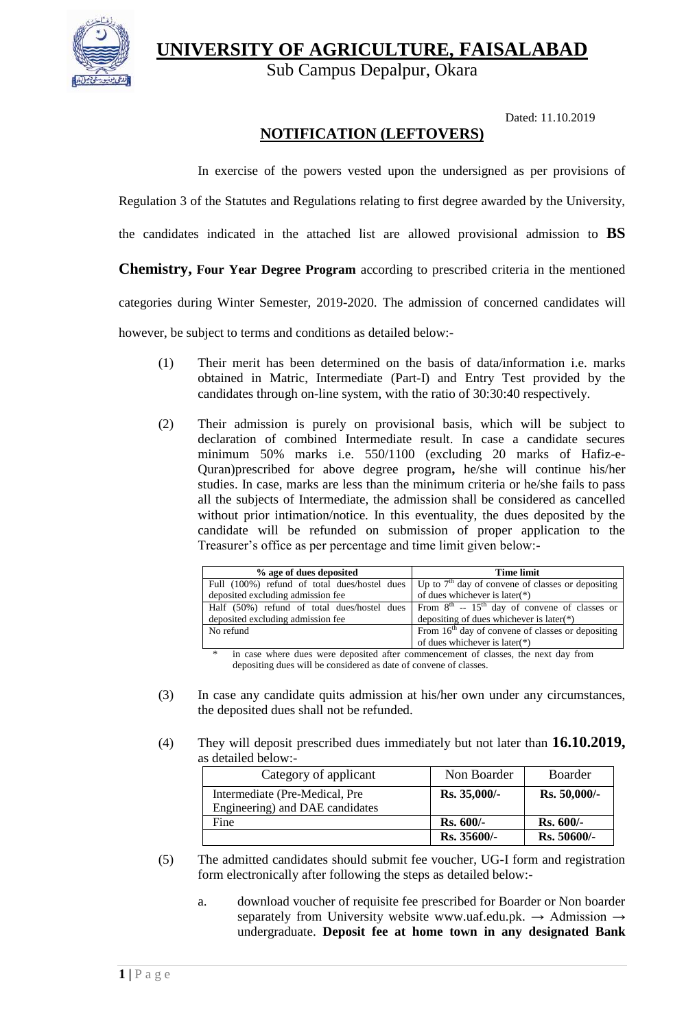**UNIVERSITY OF AGRICULTURE, FAISALABAD**



Sub Campus Depalpur, Okara

Dated: 11.10.2019

# **NOTIFICATION (LEFTOVERS)**

In exercise of the powers vested upon the undersigned as per provisions of

Regulation 3 of the Statutes and Regulations relating to first degree awarded by the University,

the candidates indicated in the attached list are allowed provisional admission to **BS**

## **Chemistry, Four Year Degree Program** according to prescribed criteria in the mentioned

categories during Winter Semester, 2019-2020. The admission of concerned candidates will

however, be subject to terms and conditions as detailed below:-

- (1) Their merit has been determined on the basis of data/information i.e. marks obtained in Matric, Intermediate (Part-I) and Entry Test provided by the candidates through on-line system, with the ratio of 30:30:40 respectively.
- (2) Their admission is purely on provisional basis, which will be subject to declaration of combined Intermediate result. In case a candidate secures minimum 50% marks i.e. 550/1100 (excluding 20 marks of Hafiz-e-Quran)prescribed for above degree program**,** he/she will continue his/her studies. In case, marks are less than the minimum criteria or he/she fails to pass all the subjects of Intermediate, the admission shall be considered as cancelled without prior intimation/notice. In this eventuality, the dues deposited by the candidate will be refunded on submission of proper application to the Treasurer's office as per percentage and time limit given below:-

| % age of dues deposited                      | <b>Time limit</b>                                              |  |
|----------------------------------------------|----------------------------------------------------------------|--|
| Full (100%) refund of total dues/hostel dues | Up to $7th$ day of convene of classes or depositing            |  |
| deposited excluding admission fee            | of dues whichever is later( $*$ )                              |  |
| Half (50%) refund of total dues/hostel dues  | From $8^{th}$ -- 15 <sup>th</sup> day of convene of classes or |  |
| deposited excluding admission fee            | depositing of dues whichever is later $(*)$                    |  |
| No refund                                    | From $16th$ day of convene of classes or depositing            |  |
|                                              | of dues whichever is later( $*$ )                              |  |

in case where dues were deposited after commencement of classes, the next day from depositing dues will be considered as date of convene of classes.

- (3) In case any candidate quits admission at his/her own under any circumstances, the deposited dues shall not be refunded.
- (4) They will deposit prescribed dues immediately but not later than **16.10.2019,**  as detailed below:-

| Category of applicant                                             | Non Boarder  | <b>Boarder</b> |
|-------------------------------------------------------------------|--------------|----------------|
| Intermediate (Pre-Medical, Pre<br>Engineering) and DAE candidates | Rs. 35,000/- | Rs. 50,000/-   |
| Fine                                                              | $Rs. 600/-$  | $Rs. 600/-$    |
|                                                                   | Rs. 35600/-  | Rs. 50600/-    |

- (5) The admitted candidates should submit fee voucher, UG-I form and registration form electronically after following the steps as detailed below:
	- a. download voucher of requisite fee prescribed for Boarder or Non boarder separately from University website [www.uaf.edu.pk.](http://www.uaf.edu.pk/) → Admission → undergraduate. **Deposit fee at home town in any designated Bank**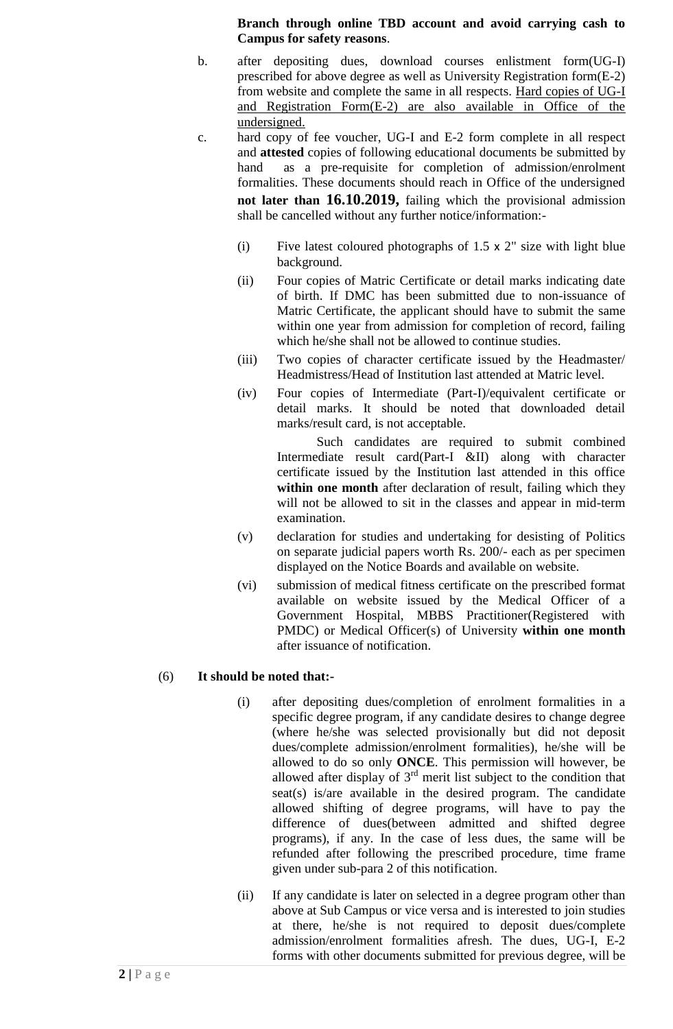#### **Branch through online TBD account and avoid carrying cash to Campus for safety reasons**.

- b. after depositing dues, download courses enlistment form(UG-I) prescribed for above degree as well as University Registration form(E-2) from website and complete the same in all respects. Hard copies of UG-I and Registration Form(E-2) are also available in Office of the undersigned.
- c. hard copy of fee voucher, UG-I and E-2 form complete in all respect and **attested** copies of following educational documents be submitted by hand as a pre-requisite for completion of admission/enrolment formalities. These documents should reach in Office of the undersigned **not later than 16.10.2019,** failing which the provisional admission shall be cancelled without any further notice/information:-
	- (i) Five latest coloured photographs of  $1.5 \times 2$ " size with light blue background.
	- (ii) Four copies of Matric Certificate or detail marks indicating date of birth. If DMC has been submitted due to non-issuance of Matric Certificate, the applicant should have to submit the same within one year from admission for completion of record, failing which he/she shall not be allowed to continue studies.
	- (iii) Two copies of character certificate issued by the Headmaster/ Headmistress/Head of Institution last attended at Matric level.
	- (iv) Four copies of Intermediate (Part-I)/equivalent certificate or detail marks. It should be noted that downloaded detail marks/result card, is not acceptable.

Such candidates are required to submit combined Intermediate result card(Part-I &II) along with character certificate issued by the Institution last attended in this office **within one month** after declaration of result, failing which they will not be allowed to sit in the classes and appear in mid-term examination.

- (v) declaration for studies and undertaking for desisting of Politics on separate judicial papers worth Rs. 200/- each as per specimen displayed on the Notice Boards and available on website.
- (vi) submission of medical fitness certificate on the prescribed format available on website issued by the Medical Officer of a Government Hospital, MBBS Practitioner(Registered with PMDC) or Medical Officer(s) of University **within one month** after issuance of notification.

## (6) **It should be noted that:-**

- (i) after depositing dues/completion of enrolment formalities in a specific degree program, if any candidate desires to change degree (where he/she was selected provisionally but did not deposit dues/complete admission/enrolment formalities), he/she will be allowed to do so only **ONCE**. This permission will however, be allowed after display of  $3<sup>rd</sup>$  merit list subject to the condition that seat(s) is/are available in the desired program. The candidate allowed shifting of degree programs, will have to pay the difference of dues(between admitted and shifted degree programs), if any. In the case of less dues, the same will be refunded after following the prescribed procedure, time frame given under sub-para 2 of this notification.
- (ii) If any candidate is later on selected in a degree program other than above at Sub Campus or vice versa and is interested to join studies at there, he/she is not required to deposit dues/complete admission/enrolment formalities afresh. The dues, UG-I, E-2 forms with other documents submitted for previous degree, will be